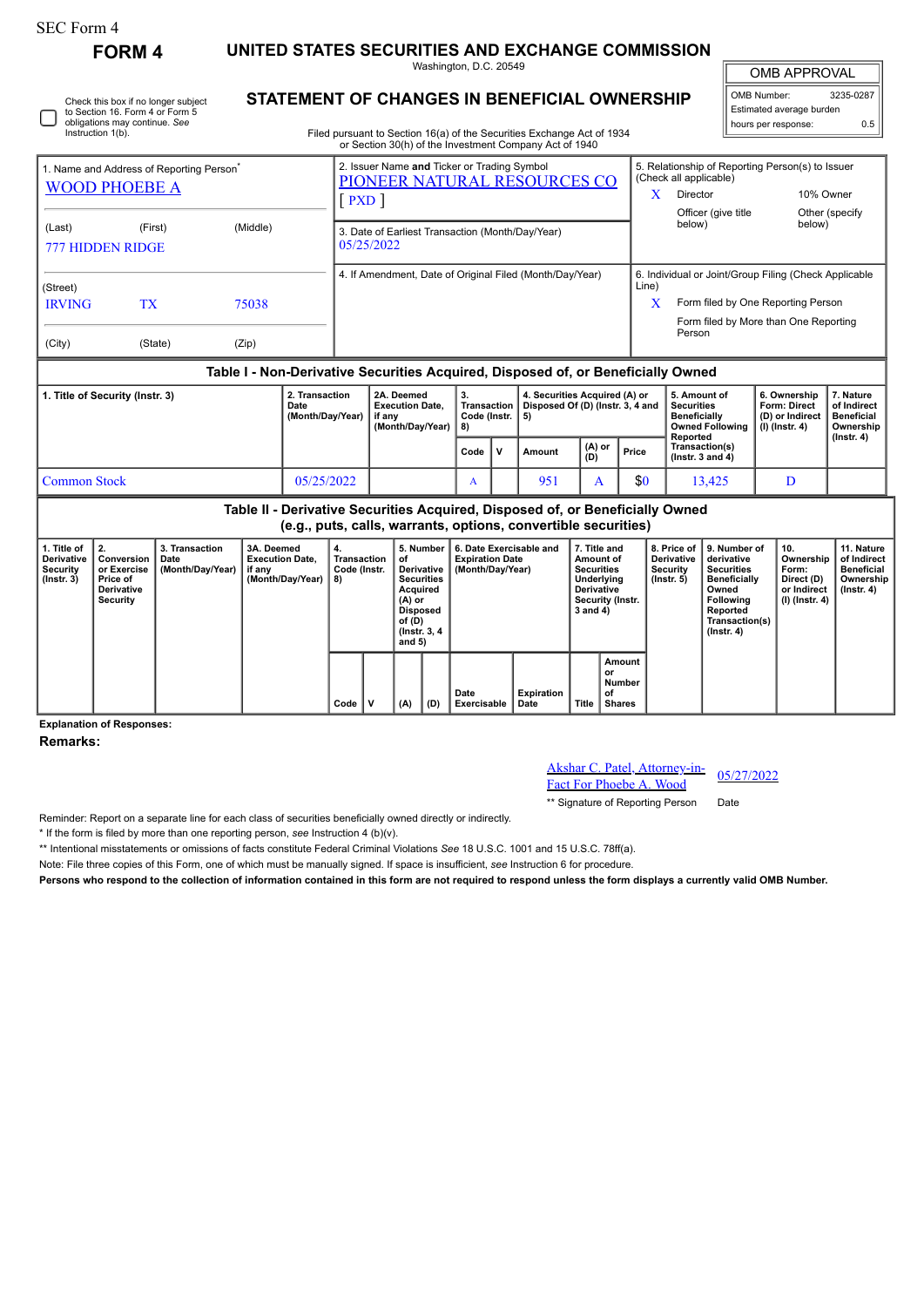## SEC Form 4

**FORM 4 UNITED STATES SECURITIES AND EXCHANGE COMMISSION**

Washington, D.C. 20549

OMB APPROVAL

 $\mathbb{I}$ 

| OMB Number:<br>3235-0287 |     |  |  |  |  |  |  |  |
|--------------------------|-----|--|--|--|--|--|--|--|
| Estimated average burden |     |  |  |  |  |  |  |  |
| hours per response:      | በ F |  |  |  |  |  |  |  |

Check this box if no longer subject to Section 16. Form 4 or Form 5 obligations may continue. *See* Instruction 1(b).

## **STATEMENT OF CHANGES IN BENEFICIAL OWNERSHIP**

Filed pursuant to Section 16(a) of the Securities Exchange Act of 1934 or Section 30(h) of the Investment Company Act of 1940

| 1. Name and Address of Reporting Person <sup>®</sup><br><b>WOOD PHOEBE A</b> |                                                               |                                                                                                                            |                                                                                  |                                                | <b>PXD</b>                                                         | 2. Issuer Name and Ticker or Trading Symbol<br>PIONEER NATURAL RESOURCES CO |                                                                                                                                                       |                                                                         |        | (Check all applicable)<br>X<br>Director |                                                                                                                                      | 5. Relationship of Reporting Person(s) to Issuer                 | 10% Owner                                                                  |                                                               |                                                                           |
|------------------------------------------------------------------------------|---------------------------------------------------------------|----------------------------------------------------------------------------------------------------------------------------|----------------------------------------------------------------------------------|------------------------------------------------|--------------------------------------------------------------------|-----------------------------------------------------------------------------|-------------------------------------------------------------------------------------------------------------------------------------------------------|-------------------------------------------------------------------------|--------|-----------------------------------------|--------------------------------------------------------------------------------------------------------------------------------------|------------------------------------------------------------------|----------------------------------------------------------------------------|---------------------------------------------------------------|---------------------------------------------------------------------------|
| (Last)                                                                       | (First)<br><b>777 HIDDEN RIDGE</b>                            | 3. Date of Earliest Transaction (Month/Day/Year)<br>05/25/2022<br>4. If Amendment, Date of Original Filed (Month/Day/Year) |                                                                                  |                                                |                                                                    |                                                                             |                                                                                                                                                       |                                                                         |        | below)                                  | Officer (give title                                                                                                                  |                                                                  | Other (specify<br>below)                                                   |                                                               |                                                                           |
| (Street)<br><b>IRVING</b>                                                    | <b>TX</b>                                                     |                                                                                                                            |                                                                                  |                                                |                                                                    |                                                                             |                                                                                                                                                       |                                                                         |        | Line)<br>X                              | 6. Individual or Joint/Group Filing (Check Applicable<br>Form filed by One Reporting Person<br>Form filed by More than One Reporting |                                                                  |                                                                            |                                                               |                                                                           |
| (City)                                                                       |                                                               | (State)                                                                                                                    | (Zip)                                                                            |                                                |                                                                    |                                                                             |                                                                                                                                                       |                                                                         |        |                                         |                                                                                                                                      | Person                                                           |                                                                            |                                                               |                                                                           |
|                                                                              |                                                               |                                                                                                                            | Table I - Non-Derivative Securities Acquired, Disposed of, or Beneficially Owned |                                                |                                                                    |                                                                             |                                                                                                                                                       |                                                                         |        |                                         |                                                                                                                                      |                                                                  |                                                                            |                                                               |                                                                           |
| 1. Title of Security (Instr. 3)<br>Date                                      |                                                               |                                                                                                                            | 2. Transaction<br>(Month/Day/Year)                                               |                                                | 2A. Deemed<br><b>Execution Date,</b><br>if any<br>(Month/Day/Year) |                                                                             | <b>Transaction</b><br>Code (Instr.                                                                                                                    | 4. Securities Acquired (A) or<br>Disposed Of (D) (Instr. 3, 4 and<br>5) |        |                                         | <b>Securities</b><br><b>Beneficially</b><br>Reported                                                                                 | 5. Amount of<br><b>Owned Following</b>                           | 6. Ownership<br><b>Form: Direct</b><br>(D) or Indirect<br>$(I)$ (Instr. 4) | 7. Nature<br>of Indirect<br><b>Beneficial</b><br>Ownership    |                                                                           |
|                                                                              |                                                               |                                                                                                                            |                                                                                  |                                                |                                                                    |                                                                             |                                                                                                                                                       | v<br>Code                                                               | Amount | $(A)$ or<br>(D)                         | Price                                                                                                                                |                                                                  | Transaction(s)<br>( $lnstr. 3 and 4$ )                                     |                                                               | $($ lnstr. 4 $)$                                                          |
| 05/25/2022<br><b>Common Stock</b>                                            |                                                               |                                                                                                                            |                                                                                  |                                                |                                                                    |                                                                             | 951<br>A<br>A                                                                                                                                         |                                                                         | \$0    |                                         | 13.425                                                                                                                               | D                                                                |                                                                            |                                                               |                                                                           |
|                                                                              |                                                               |                                                                                                                            | Table II - Derivative Securities Acquired, Disposed of, or Beneficially Owned    |                                                |                                                                    | (e.g., puts, calls, warrants, options, convertible securities)              |                                                                                                                                                       |                                                                         |        |                                         |                                                                                                                                      |                                                                  |                                                                            |                                                               |                                                                           |
| 1. Title of<br><b>Derivative</b><br>Security<br>$($ lnstr. 3 $)$             | 2.<br>Conversion<br>or Exercise<br>Price of<br>Davis catilica | 3. Transaction<br>Date<br>(Month/Day/Year)                                                                                 | 3A. Deemed<br><b>Execution Date,</b><br>if any<br>(Month/Day/Year)               | 4.<br><b>Transaction</b><br>Code (Instr.<br>8) |                                                                    | 5. Number<br>of<br>Derivative<br><b>Securities</b><br>$A = 0.01$            | 6. Date Exercisable and<br>7. Title and<br><b>Expiration Date</b><br>Amount of<br>(Month/Day/Year)<br><b>Securities</b><br>Underlying<br>Dealerships, |                                                                         |        |                                         |                                                                                                                                      | 8. Price of<br><b>Derivative</b><br>Security<br>$($ lnstr. 5 $)$ | 9. Number of<br>derivative<br><b>Securities</b><br><b>Beneficially</b>     | 10.<br>Ownership<br>Form:<br>Direct (D)<br>بالمستلم والمرارين | 11. Nature<br>of Indirect<br><b>Beneficial</b><br>Ownership<br>$\sqrt{2}$ |

| (1115u. v) | <b>FIICE UI</b><br>Derivative<br>Security |  |      |              | <b>Securities</b><br>Acquired<br>(A) or<br><b>Disposed</b><br>of (D)<br>(Instr. 3, 4)<br>and $5)$ |     |                     |                    | onderlying<br>Derivative<br><b>Security (Instr.</b><br>3 and 4) |                                        | 1115u. v | <b>Deliencially</b><br>Owned<br>Following<br>Reported<br>Transaction(s)<br>(Instr. 4) | $P$ nect ( $P$ )<br>or Indirect<br>(I) (Instr. 4) | $\sim$ whereing $\sim$<br>(Instr. 4) |
|------------|-------------------------------------------|--|------|--------------|---------------------------------------------------------------------------------------------------|-----|---------------------|--------------------|-----------------------------------------------------------------|----------------------------------------|----------|---------------------------------------------------------------------------------------|---------------------------------------------------|--------------------------------------|
|            |                                           |  | Code | $\mathbf{v}$ | (A)                                                                                               | (D) | Date<br>Exercisable | Expiration<br>Date | <b>Title</b>                                                    | Amount<br>or<br>Number<br>оf<br>Shares |          |                                                                                       |                                                   |                                      |

**Explanation of Responses:**

**Remarks:**

Akshar C. Patel, Attorney-in-**Fact For Phoebe A. Wood** 05/27/2022

\*\* Signature of Reporting Person Date

Reminder: Report on a separate line for each class of securities beneficially owned directly or indirectly.

\* If the form is filed by more than one reporting person, *see* Instruction 4 (b)(v).

\*\* Intentional misstatements or omissions of facts constitute Federal Criminal Violations *See* 18 U.S.C. 1001 and 15 U.S.C. 78ff(a).

Note: File three copies of this Form, one of which must be manually signed. If space is insufficient, *see* Instruction 6 for procedure.

**Persons who respond to the collection of information contained in this form are not required to respond unless the form displays a currently valid OMB Number.**